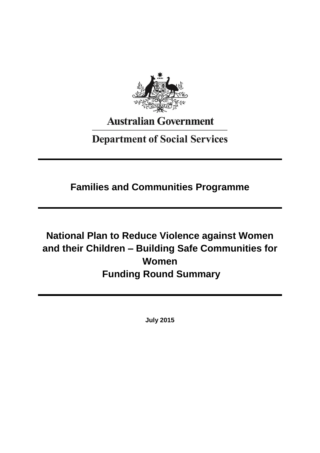

# **Australian Government**

## **Department of Social Services**

**Families and Communities Programme**

# **National Plan to Reduce Violence against Women and their Children – Building Safe Communities for Women Funding Round Summary**

**July 2015**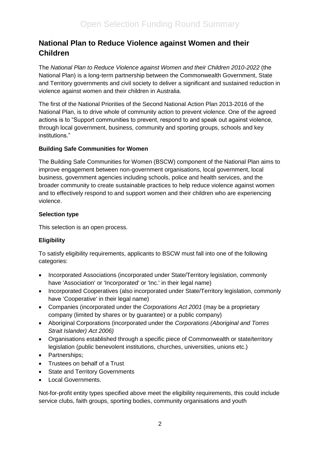### **National Plan to Reduce Violence against Women and their Children**

The *National Plan to Reduce Violence against Women and their Children 2010-2022* (the National Plan) is a long-term partnership between the Commonwealth Government, State and Territory governments and civil society to deliver a significant and sustained reduction in violence against women and their children in Australia.

The first of the National Priorities of the Second National Action Plan 2013-2016 of the National Plan, is to drive whole of community action to prevent violence. One of the agreed actions is to "Support communities to prevent, respond to and speak out against violence, through local government, business, community and sporting groups, schools and key institutions."

#### **Building Safe Communities for Women**

The Building Safe Communities for Women (BSCW) component of the National Plan aims to improve engagement between non-government organisations, local government, local business, government agencies including schools, police and health services, and the broader community to create sustainable practices to help reduce violence against women and to effectively respond to and support women and their children who are experiencing violence.

#### **Selection type**

This selection is an open process.

#### **Eligibility**

To satisfy eligibility requirements, applicants to BSCW must fall into one of the following categories:

- Incorporated Associations (incorporated under State/Territory legislation, commonly have 'Association' or 'Incorporated' or 'Inc.' in their legal name)
- Incorporated Cooperatives (also incorporated under State/Territory legislation, commonly have 'Cooperative' in their legal name)
- Companies (incorporated under the *Corporations Act 2001* (may be a proprietary company (limited by shares or by guarantee) or a public company)
- Aboriginal Corporations (incorporated under the *Corporations (Aboriginal and Torres Strait Islander) Act 2006)*
- Organisations established through a specific piece of Commonwealth or state/territory legislation (public benevolent institutions, churches, universities, unions etc.)
- Partnerships;
- Trustees on behalf of a Trust
- State and Territory Governments
- Local Governments.

Not-for-profit entity types specified above meet the eligibility requirements, this could include service clubs, faith groups, sporting bodies, community organisations and youth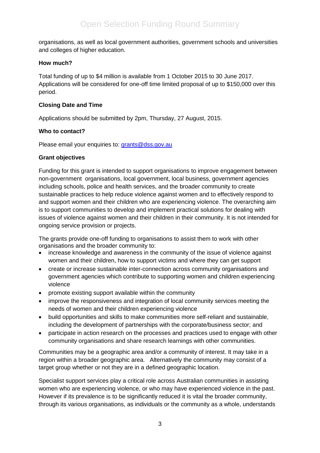organisations, as well as local government authorities, government schools and universities and colleges of higher education.

#### **How much?**

Total funding of up to \$4 million is available from 1 October 2015 to 30 June 2017. Applications will be considered for one-off time limited proposal of up to \$150,000 over this period.

#### **Closing Date and Time**

Applications should be submitted by 2pm, Thursday, 27 August, 2015.

#### **Who to contact?**

Please email your enquiries to: [grants@dss.gov.au](mailto:grants@dss.gov.au)

#### **Grant objectives**

Funding for this grant is intended to support organisations to improve engagement between non-government organisations, local government, local business, government agencies including schools, police and health services, and the broader community to create sustainable practices to help reduce violence against women and to effectively respond to and support women and their children who are experiencing violence. The overarching aim is to support communities to develop and implement practical solutions for dealing with issues of violence against women and their children in their community. It is not intended for ongoing service provision or projects.

The grants provide one-off funding to organisations to assist them to work with other organisations and the broader community to:

- increase knowledge and awareness in the community of the issue of violence against women and their children, how to support victims and where they can get support
- create or increase sustainable inter-connection across community organisations and government agencies which contribute to supporting women and children experiencing violence
- promote existing support available within the community
- improve the responsiveness and integration of local community services meeting the needs of women and their children experiencing violence
- build opportunities and skills to make communities more self-reliant and sustainable, including the development of partnerships with the corporate/business sector; and
- participate in action research on the processes and practices used to engage with other community organisations and share research learnings with other communities.

Communities may be a geographic area and/or a community of interest. It may take in a region within a broader geographic area. Alternatively the community may consist of a target group whether or not they are in a defined geographic location.

Specialist support services play a critical role across Australian communities in assisting women who are experiencing violence, or who may have experienced violence in the past. However if its prevalence is to be significantly reduced it is vital the broader community, through its various organisations, as individuals or the community as a whole, understands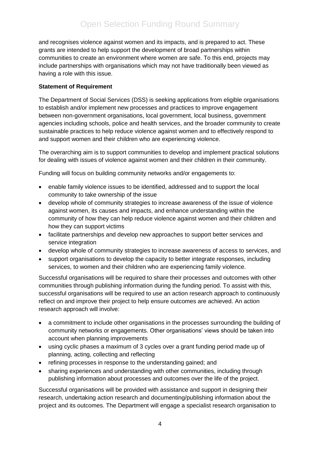and recognises violence against women and its impacts, and is prepared to act. These grants are intended to help support the development of broad partnerships within communities to create an environment where women are safe. To this end, projects may include partnerships with organisations which may not have traditionally been viewed as having a role with this issue.

#### **Statement of Requirement**

The Department of Social Services (DSS) is seeking applications from eligible organisations to establish and/or implement new processes and practices to improve engagement between non-government organisations, local government, local business, government agencies including schools, police and health services, and the broader community to create sustainable practices to help reduce violence against women and to effectively respond to and support women and their children who are experiencing violence.

The overarching aim is to support communities to develop and implement practical solutions for dealing with issues of violence against women and their children in their community.

Funding will focus on building community networks and/or engagements to:

- enable family violence issues to be identified, addressed and to support the local community to take ownership of the issue
- develop whole of community strategies to increase awareness of the issue of violence against women, its causes and impacts, and enhance understanding within the community of how they can help reduce violence against women and their children and how they can support victims
- facilitate partnerships and develop new approaches to support better services and service integration
- develop whole of community strategies to increase awareness of access to services, and
- support organisations to develop the capacity to better integrate responses, including services, to women and their children who are experiencing family violence.

Successful organisations will be required to share their processes and outcomes with other communities through publishing information during the funding period. To assist with this, successful organisations will be required to use an action research approach to continuously reflect on and improve their project to help ensure outcomes are achieved. An action research approach will involve:

- a commitment to include other organisations in the processes surrounding the building of community networks or engagements. Other organisations' views should be taken into account when planning improvements
- using cyclic phases a maximum of 3 cycles over a grant funding period made up of planning, acting, collecting and reflecting
- refining processes in response to the understanding gained; and
- sharing experiences and understanding with other communities, including through publishing information about processes and outcomes over the life of the project.

Successful organisations will be provided with assistance and support in designing their research, undertaking action research and documenting/publishing information about the project and its outcomes. The Department will engage a specialist research organisation to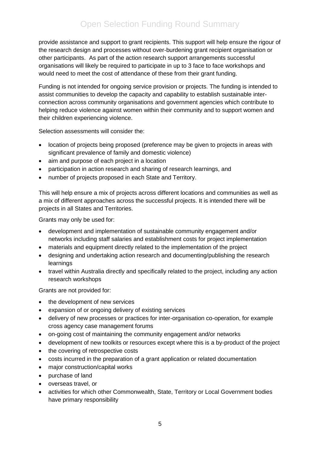### Open Selection Funding Round Summary

provide assistance and support to grant recipients. This support will help ensure the rigour of the research design and processes without over-burdening grant recipient organisation or other participants. As part of the action research support arrangements successful organisations will likely be required to participate in up to 3 face to face workshops and would need to meet the cost of attendance of these from their grant funding.

Funding is not intended for ongoing service provision or projects. The funding is intended to assist communities to develop the capacity and capability to establish sustainable interconnection across community organisations and government agencies which contribute to helping reduce violence against women within their community and to support women and their children experiencing violence.

Selection assessments will consider the:

- location of projects being proposed (preference may be given to projects in areas with significant prevalence of family and domestic violence)
- aim and purpose of each project in a location
- participation in action research and sharing of research learnings, and
- number of projects proposed in each State and Territory.

This will help ensure a mix of projects across different locations and communities as well as a mix of different approaches across the successful projects. It is intended there will be projects in all States and Territories.

Grants may only be used for:

- development and implementation of sustainable community engagement and/or networks including staff salaries and establishment costs for project implementation
- materials and equipment directly related to the implementation of the project
- designing and undertaking action research and documenting/publishing the research learnings
- travel within Australia directly and specifically related to the project, including any action research workshops

Grants are not provided for:

- the development of new services
- expansion of or ongoing delivery of existing services
- delivery of new processes or practices for inter-organisation co-operation, for example cross agency case management forums
- on-going cost of maintaining the community engagement and/or networks
- development of new toolkits or resources except where this is a by-product of the project
- the covering of retrospective costs
- costs incurred in the preparation of a grant application or related documentation
- major construction/capital works
- purchase of land
- overseas travel, or
- activities for which other Commonwealth, State, Territory or Local Government bodies have primary responsibility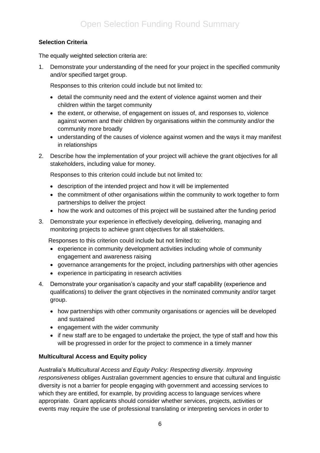#### **Selection Criteria**

The equally weighted selection criteria are:

1. Demonstrate your understanding of the need for your project in the specified community and/or specified target group.

Responses to this criterion could include but not limited to:

- detail the community need and the extent of violence against women and their children within the target community
- the extent, or otherwise, of engagement on issues of, and responses to, violence against women and their children by organisations within the community and/or the community more broadly
- understanding of the causes of violence against women and the ways it may manifest in relationships
- 2. Describe how the implementation of your project will achieve the grant objectives for all stakeholders, including value for money.

Responses to this criterion could include but not limited to:

- description of the intended project and how it will be implemented
- the commitment of other organisations within the community to work together to form partnerships to deliver the project
- how the work and outcomes of this project will be sustained after the funding period
- 3. Demonstrate your experience in effectively developing, delivering, managing and monitoring projects to achieve grant objectives for all stakeholders.

Responses to this criterion could include but not limited to:

- experience in community development activities including whole of community engagement and awareness raising
- governance arrangements for the project, including partnerships with other agencies
- experience in participating in research activities
- 4. Demonstrate your organisation's capacity and your staff capability (experience and qualifications) to deliver the grant objectives in the nominated community and/or target group.
	- how partnerships with other community organisations or agencies will be developed and sustained
	- engagement with the wider community
	- if new staff are to be engaged to undertake the project, the type of staff and how this will be progressed in order for the project to commence in a timely manner

#### **Multicultural Access and Equity policy**

Australia's *Multicultural Access and Equity Policy: Respecting diversity. Improving responsiveness* obliges Australian government agencies to ensure that cultural and linguistic diversity is not a barrier for people engaging with government and accessing services to which they are entitled, for example, by providing access to language services where appropriate. Grant applicants should consider whether services, projects, activities or events may require the use of professional translating or interpreting services in order to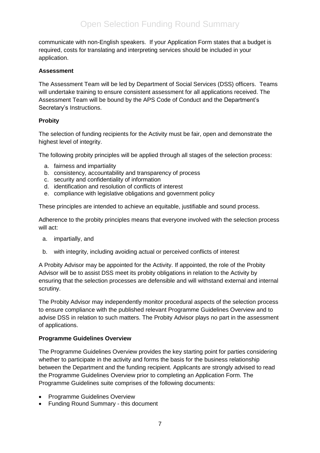communicate with non-English speakers. If your Application Form states that a budget is required, costs for translating and interpreting services should be included in your application.

#### **Assessment**

The Assessment Team will be led by Department of Social Services (DSS) officers. Teams will undertake training to ensure consistent assessment for all applications received. The Assessment Team will be bound by the APS Code of Conduct and the Department's Secretary's Instructions.

#### **Probity**

The selection of funding recipients for the Activity must be fair, open and demonstrate the highest level of integrity.

The following probity principles will be applied through all stages of the selection process:

- a. fairness and impartiality
- b. consistency, accountability and transparency of process
- c. security and confidentiality of information
- d. identification and resolution of conflicts of interest
- e. compliance with legislative obligations and government policy

These principles are intended to achieve an equitable, justifiable and sound process.

Adherence to the probity principles means that everyone involved with the selection process will act:

- a. impartially, and
- b. with integrity, including avoiding actual or perceived conflicts of interest

A Probity Advisor may be appointed for the Activity. If appointed, the role of the Probity Advisor will be to assist DSS meet its probity obligations in relation to the Activity by ensuring that the selection processes are defensible and will withstand external and internal scrutiny.

The Probity Advisor may independently monitor procedural aspects of the selection process to ensure compliance with the published relevant Programme Guidelines Overview and to advise DSS in relation to such matters. The Probity Advisor plays no part in the assessment of applications.

#### **Programme Guidelines Overview**

The Programme Guidelines Overview provides the key starting point for parties considering whether to participate in the activity and forms the basis for the business relationship between the Department and the funding recipient. Applicants are strongly advised to read the Programme Guidelines Overview prior to completing an Application Form. The Programme Guidelines suite comprises of the following documents:

- Programme Guidelines Overview
- Funding Round Summary this document